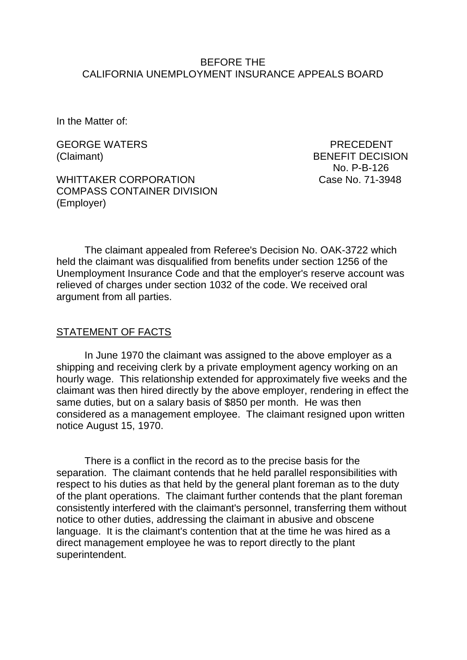#### BEFORE THE CALIFORNIA UNEMPLOYMENT INSURANCE APPEALS BOARD

In the Matter of:

GEORGE WATERS **EXECUTE IN THE SERVICE OF A RECONST** 

WHITTAKER CORPORATION Case No. 71-3948 COMPASS CONTAINER DIVISION (Employer)

(Claimant) BENEFIT DECISION No. P-B-126

The claimant appealed from Referee's Decision No. OAK-3722 which held the claimant was disqualified from benefits under section 1256 of the Unemployment Insurance Code and that the employer's reserve account was relieved of charges under section 1032 of the code. We received oral argument from all parties.

#### STATEMENT OF FACTS

In June 1970 the claimant was assigned to the above employer as a shipping and receiving clerk by a private employment agency working on an hourly wage. This relationship extended for approximately five weeks and the claimant was then hired directly by the above employer, rendering in effect the same duties, but on a salary basis of \$850 per month. He was then considered as a management employee. The claimant resigned upon written notice August 15, 1970.

There is a conflict in the record as to the precise basis for the separation. The claimant contends that he held parallel responsibilities with respect to his duties as that held by the general plant foreman as to the duty of the plant operations. The claimant further contends that the plant foreman consistently interfered with the claimant's personnel, transferring them without notice to other duties, addressing the claimant in abusive and obscene language. It is the claimant's contention that at the time he was hired as a direct management employee he was to report directly to the plant superintendent.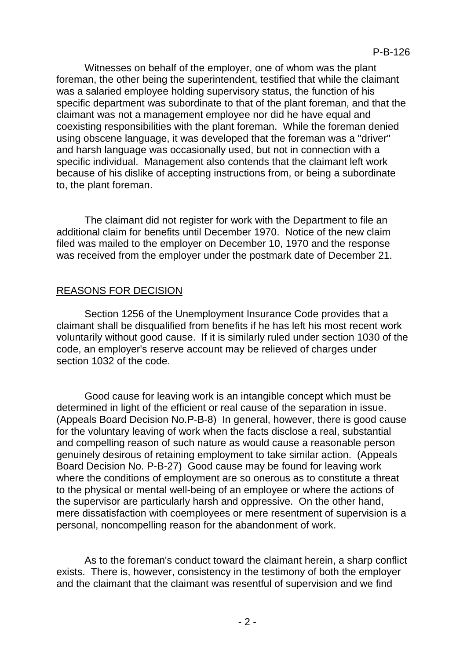Witnesses on behalf of the employer, one of whom was the plant foreman, the other being the superintendent, testified that while the claimant was a salaried employee holding supervisory status, the function of his specific department was subordinate to that of the plant foreman, and that the claimant was not a management employee nor did he have equal and coexisting responsibilities with the plant foreman. While the foreman denied using obscene language, it was developed that the foreman was a "driver" and harsh language was occasionally used, but not in connection with a specific individual. Management also contends that the claimant left work because of his dislike of accepting instructions from, or being a subordinate to, the plant foreman.

The claimant did not register for work with the Department to file an additional claim for benefits until December 1970. Notice of the new claim filed was mailed to the employer on December 10, 1970 and the response was received from the employer under the postmark date of December 21.

## REASONS FOR DECISION

Section 1256 of the Unemployment Insurance Code provides that a claimant shall be disqualified from benefits if he has left his most recent work voluntarily without good cause. If it is similarly ruled under section 1030 of the code, an employer's reserve account may be relieved of charges under section 1032 of the code.

Good cause for leaving work is an intangible concept which must be determined in light of the efficient or real cause of the separation in issue. (Appeals Board Decision No.P-B-8) In general, however, there is good cause for the voluntary leaving of work when the facts disclose a real, substantial and compelling reason of such nature as would cause a reasonable person genuinely desirous of retaining employment to take similar action. (Appeals Board Decision No. P-B-27) Good cause may be found for leaving work where the conditions of employment are so onerous as to constitute a threat to the physical or mental well-being of an employee or where the actions of the supervisor are particularly harsh and oppressive. On the other hand, mere dissatisfaction with coemployees or mere resentment of supervision is a personal, noncompelling reason for the abandonment of work.

As to the foreman's conduct toward the claimant herein, a sharp conflict exists. There is, however, consistency in the testimony of both the employer and the claimant that the claimant was resentful of supervision and we find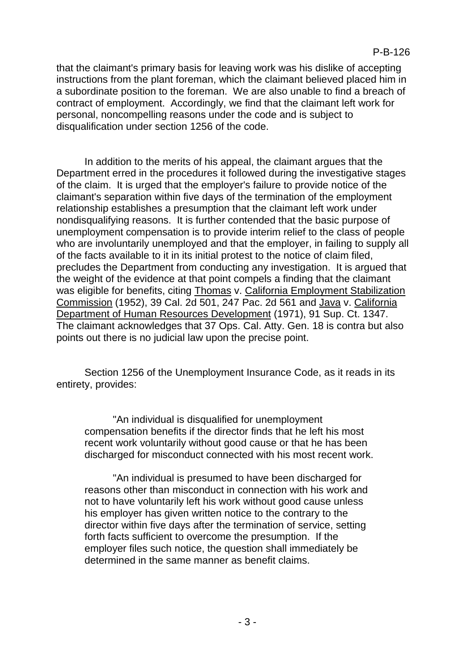that the claimant's primary basis for leaving work was his dislike of accepting instructions from the plant foreman, which the claimant believed placed him in a subordinate position to the foreman. We are also unable to find a breach of contract of employment. Accordingly, we find that the claimant left work for personal, noncompelling reasons under the code and is subject to disqualification under section 1256 of the code.

In addition to the merits of his appeal, the claimant argues that the Department erred in the procedures it followed during the investigative stages of the claim. It is urged that the employer's failure to provide notice of the claimant's separation within five days of the termination of the employment relationship establishes a presumption that the claimant left work under nondisqualifying reasons. It is further contended that the basic purpose of unemployment compensation is to provide interim relief to the class of people who are involuntarily unemployed and that the employer, in failing to supply all of the facts available to it in its initial protest to the notice of claim filed, precludes the Department from conducting any investigation. It is argued that the weight of the evidence at that point compels a finding that the claimant was eligible for benefits, citing Thomas v. California Employment Stabilization Commission (1952), 39 Cal. 2d 501, 247 Pac. 2d 561 and Java v. California Department of Human Resources Development (1971), 91 Sup. Ct. 1347. The claimant acknowledges that 37 Ops. Cal. Atty. Gen. 18 is contra but also points out there is no judicial law upon the precise point.

Section 1256 of the Unemployment Insurance Code, as it reads in its entirety, provides:

"An individual is disqualified for unemployment compensation benefits if the director finds that he left his most recent work voluntarily without good cause or that he has been discharged for misconduct connected with his most recent work.

"An individual is presumed to have been discharged for reasons other than misconduct in connection with his work and not to have voluntarily left his work without good cause unless his employer has given written notice to the contrary to the director within five days after the termination of service, setting forth facts sufficient to overcome the presumption. If the employer files such notice, the question shall immediately be determined in the same manner as benefit claims.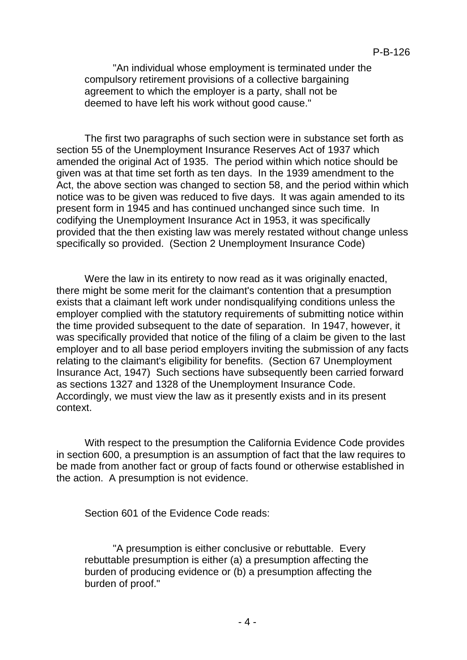"An individual whose employment is terminated under the compulsory retirement provisions of a collective bargaining agreement to which the employer is a party, shall not be deemed to have left his work without good cause."

The first two paragraphs of such section were in substance set forth as section 55 of the Unemployment Insurance Reserves Act of 1937 which amended the original Act of 1935. The period within which notice should be given was at that time set forth as ten days. In the 1939 amendment to the Act, the above section was changed to section 58, and the period within which notice was to be given was reduced to five days. It was again amended to its present form in 1945 and has continued unchanged since such time. In codifying the Unemployment Insurance Act in 1953, it was specifically provided that the then existing law was merely restated without change unless specifically so provided. (Section 2 Unemployment Insurance Code)

Were the law in its entirety to now read as it was originally enacted, there might be some merit for the claimant's contention that a presumption exists that a claimant left work under nondisqualifying conditions unless the employer complied with the statutory requirements of submitting notice within the time provided subsequent to the date of separation. In 1947, however, it was specifically provided that notice of the filing of a claim be given to the last employer and to all base period employers inviting the submission of any facts relating to the claimant's eligibility for benefits. (Section 67 Unemployment Insurance Act, 1947) Such sections have subsequently been carried forward as sections 1327 and 1328 of the Unemployment Insurance Code. Accordingly, we must view the law as it presently exists and in its present context.

With respect to the presumption the California Evidence Code provides in section 600, a presumption is an assumption of fact that the law requires to be made from another fact or group of facts found or otherwise established in the action. A presumption is not evidence.

Section 601 of the Evidence Code reads:

"A presumption is either conclusive or rebuttable. Every rebuttable presumption is either (a) a presumption affecting the burden of producing evidence or (b) a presumption affecting the burden of proof."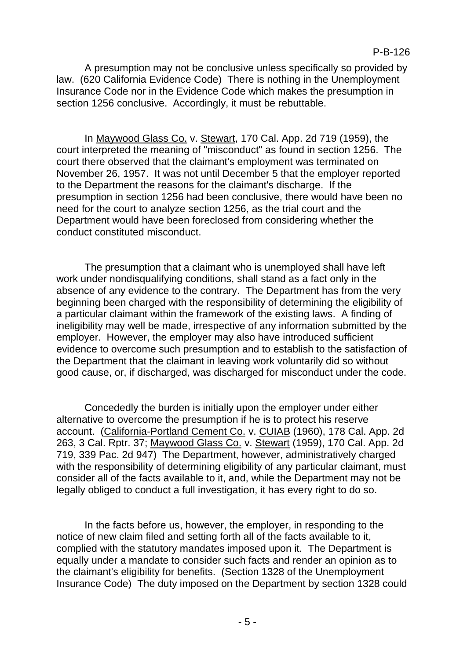A presumption may not be conclusive unless specifically so provided by law. (620 California Evidence Code) There is nothing in the Unemployment Insurance Code nor in the Evidence Code which makes the presumption in section 1256 conclusive. Accordingly, it must be rebuttable.

In Maywood Glass Co. v. Stewart, 170 Cal. App. 2d 719 (1959), the court interpreted the meaning of "misconduct" as found in section 1256. The court there observed that the claimant's employment was terminated on November 26, 1957. It was not until December 5 that the employer reported to the Department the reasons for the claimant's discharge. If the presumption in section 1256 had been conclusive, there would have been no need for the court to analyze section 1256, as the trial court and the Department would have been foreclosed from considering whether the conduct constituted misconduct.

The presumption that a claimant who is unemployed shall have left work under nondisqualifying conditions, shall stand as a fact only in the absence of any evidence to the contrary. The Department has from the very beginning been charged with the responsibility of determining the eligibility of a particular claimant within the framework of the existing laws. A finding of ineligibility may well be made, irrespective of any information submitted by the employer. However, the employer may also have introduced sufficient evidence to overcome such presumption and to establish to the satisfaction of the Department that the claimant in leaving work voluntarily did so without good cause, or, if discharged, was discharged for misconduct under the code.

Concededly the burden is initially upon the employer under either alternative to overcome the presumption if he is to protect his reserve account. (California-Portland Cement Co. v. CUIAB (1960), 178 Cal. App. 2d 263, 3 Cal. Rptr. 37; Maywood Glass Co. v. Stewart (1959), 170 Cal. App. 2d 719, 339 Pac. 2d 947) The Department, however, administratively charged with the responsibility of determining eligibility of any particular claimant, must consider all of the facts available to it, and, while the Department may not be legally obliged to conduct a full investigation, it has every right to do so.

In the facts before us, however, the employer, in responding to the notice of new claim filed and setting forth all of the facts available to it, complied with the statutory mandates imposed upon it. The Department is equally under a mandate to consider such facts and render an opinion as to the claimant's eligibility for benefits. (Section 1328 of the Unemployment Insurance Code) The duty imposed on the Department by section 1328 could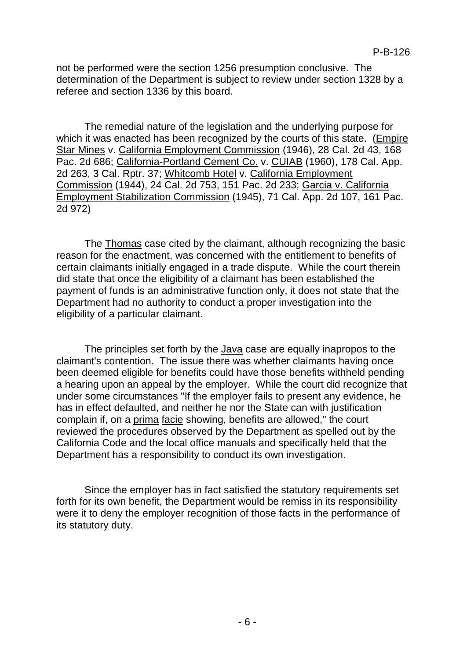not be performed were the section 1256 presumption conclusive. The determination of the Department is subject to review under section 1328 by a referee and section 1336 by this board.

The remedial nature of the legislation and the underlying purpose for which it was enacted has been recognized by the courts of this state. (Empire Star Mines v. California Employment Commission (1946), 28 Cal. 2d 43, 168 Pac. 2d 686; California-Portland Cement Co. v. CUIAB (1960), 178 Cal. App. 2d 263, 3 Cal. Rptr. 37; Whitcomb Hotel v. California Employment Commission (1944), 24 Cal. 2d 753, 151 Pac. 2d 233; Garcia v. California Employment Stabilization Commission (1945), 71 Cal. App. 2d 107, 161 Pac. 2d 972)

The Thomas case cited by the claimant, although recognizing the basic reason for the enactment, was concerned with the entitlement to benefits of certain claimants initially engaged in a trade dispute. While the court therein did state that once the eligibility of a claimant has been established the payment of funds is an administrative function only, it does not state that the Department had no authority to conduct a proper investigation into the eligibility of a particular claimant.

The principles set forth by the Java case are equally inapropos to the claimant's contention. The issue there was whether claimants having once been deemed eligible for benefits could have those benefits withheld pending a hearing upon an appeal by the employer. While the court did recognize that under some circumstances "If the employer fails to present any evidence, he has in effect defaulted, and neither he nor the State can with justification complain if, on a prima facie showing, benefits are allowed," the court reviewed the procedures observed by the Department as spelled out by the California Code and the local office manuals and specifically held that the Department has a responsibility to conduct its own investigation.

Since the employer has in fact satisfied the statutory requirements set forth for its own benefit, the Department would be remiss in its responsibility were it to deny the employer recognition of those facts in the performance of its statutory duty.